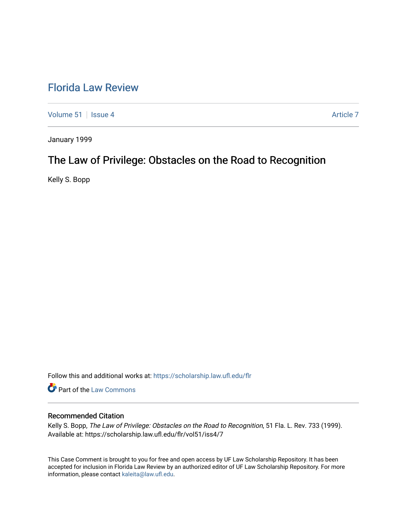# [Florida Law Review](https://scholarship.law.ufl.edu/flr)

[Volume 51](https://scholarship.law.ufl.edu/flr/vol51) | [Issue 4](https://scholarship.law.ufl.edu/flr/vol51/iss4) Article 7

January 1999

# The Law of Privilege: Obstacles on the Road to Recognition

Kelly S. Bopp

Follow this and additional works at: [https://scholarship.law.ufl.edu/flr](https://scholarship.law.ufl.edu/flr?utm_source=scholarship.law.ufl.edu%2Fflr%2Fvol51%2Fiss4%2F7&utm_medium=PDF&utm_campaign=PDFCoverPages)

Part of the [Law Commons](http://network.bepress.com/hgg/discipline/578?utm_source=scholarship.law.ufl.edu%2Fflr%2Fvol51%2Fiss4%2F7&utm_medium=PDF&utm_campaign=PDFCoverPages)

## Recommended Citation

Kelly S. Bopp, The Law of Privilege: Obstacles on the Road to Recognition, 51 Fla. L. Rev. 733 (1999). Available at: https://scholarship.law.ufl.edu/flr/vol51/iss4/7

This Case Comment is brought to you for free and open access by UF Law Scholarship Repository. It has been accepted for inclusion in Florida Law Review by an authorized editor of UF Law Scholarship Repository. For more information, please contact [kaleita@law.ufl.edu.](mailto:kaleita@law.ufl.edu)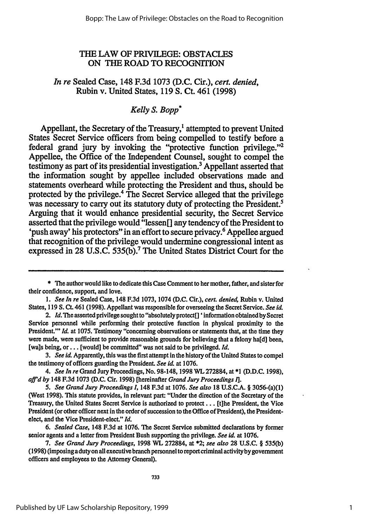# THE LAW OF PRIVILEGE: **OBSTACLES** ON **THE** ROAD TO RECOGNITION

# *In re* Sealed Case, 148 F.3d 1073 **(D.C.** Cir.), *cert. denied,* Rubin v. United States, **119 S.** Ct. 461 **(1998)**

# *Kelly S. Bopp\**

Appellant, the Secretary of the Treasury,<sup>1</sup> attempted to prevent United States Secret Service officers from being compelled to testify before a federal grand jury by invoking the "protective function privilege."<sup>2</sup> Appellee, the Office of the Independent Counsel, sought to compel the testimony as part of its presidential investigation.3 Appellant asserted that the information sought **by** appellee included observations made and statements overheard while protecting the President and thus, should be protected **by** the privilege.4 The Secret Service alleged that the privilege was necessary to carry out its statutory duty of protecting the President.<sup>5</sup> Arguing that it would enhance presidential security, the Secret Service asserted that the privilege would "lessen<sup>[]</sup> any tendency of the President to 'push away' his protectors" in an effort to secure privacy.<sup>6</sup> Appellee argued that recognition of the privilege would undermine congressional intent as expressed in **28 U.S.C. 535(b).7** The United States District Court for the

<sup>\*</sup> The author would like to dedicate this Case Comment to her mother, father, and sister for their confidence, support, and love.

*<sup>1.</sup> See In re* Sealed Case, 148 F.3d 1073, 1074 **(D.C.** Cir.), *cert. denied,* Rubin v. United States, **119 S. Ct.** 461 (1998). Appellant was responsible for overseeing the Secret Service. *See id.*

<sup>2.</sup> *Id.* The asserted privilege sought to "absolutely protect[] 'information obtained **by** Secret Service personnel while performing their protective function in physical proximity to the President." *Id.* at 1075. Testimony "concerning observations or statements that, at the time they were made, were sufficient to provide reasonable grounds for believing that a felony ha[d] been, [wa]s being, or... [would] be committed" was not said to be privileged. *Id.*

*<sup>3.</sup> See id* Apparently, this was the first attempt in the history of the United States to compel the testimony of officers guarding the President. *See id.* at 1076.

*<sup>4.</sup> See In re* Grand Jury Proceedings, No. 98-148, 1998 WL 272884, at **\*1 (D.D.C.** 1998), *aff'd by* 148 F.3d 1073 **(D.C.** Cir. 1998) [hereinafter *Grand Jury Proceedings* **1].**

*<sup>5.</sup> See Grand Jury Proceedings !,* 148 F.3d at **1076.** *See also* **18** U.S.C.A. § 3056-(a)(1) (West 1998). This statute provides, in relevant part: "Under the direction of the Secretary of the Treasury, the United States Secret Service is authorized to protect... [tihe President, the Vice President (or other officer next in the order of succession to the Office of President), the Presidentelect, and the Vice President-elect." *Id.*

*<sup>6.</sup> Sealed Case,* 148 F.3d at 1076. *The* Secret Service submitted declarations **by** former senior agents and a letter from President Bush supporting the privilege. *See id.* at **1076.**

*<sup>7.</sup> See Grand Jury Proceedings,* 1998 WL 272884, at \*2; *see also* 28 **U.S.C.** § *535(b)* (1998) (imposingadutyon all executive branch personnel to report criminal activity by government officers and employees to the Attorney General).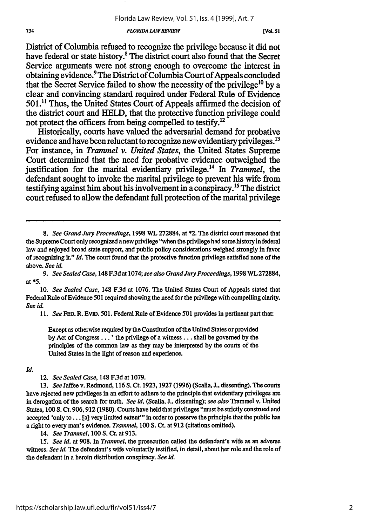#### *FLORIDA LA WREVIEW*

[Vol. 51

District of Columbia refused to recognize the privilege because it did not have federal or state history.<sup>8</sup> The district court also found that the Secret Service arguments were not strong enough to overcome the interest in obtaining evidence.9 The District of Columbia Court of Appeals concluded that the Secret Service failed to show the necessity of the privilege<sup>10</sup> by a clear and convincing standard required under Federal Rule of Evidence **501.1'** Thus, the United States Court of Appeals affirmed the decision of the district court and **HELD,** that the protective function privilege could not protect the officers from being compelled to testify.<sup>12</sup>

Historically, courts have valued the adversarial demand for probative evidence and have been reluctant to recognize new evidentiary privileges.<sup>13</sup> For instance, in *Trammel v. United States,* the United States Supreme Court determined that the need for probative evidence outweighed the justification for the marital evidentiary privilege.<sup>14</sup> In *Trammel*, the defendant sought to invoke the marital privilege to prevent his wife from testifying against him about his involvement in a conspiracy.<sup>15</sup> The district court refused to allow the defendant full protection of the marital privilege

11. *See* **FED.** R. **EVID.** 501. Federal Rule of Evidence 501 provides in pertinent part that:

Except as otherwise required **by** the Constitution of the United States or provided by Act of Congress... ' the privilege of a witness **...** shall be governed by the principles of the common law as they may be interpreted **by** the courts of the United States in the light of reason and experience.

## *Id.*

12. *See Sealed Case,* 148 F.3d at 1079.

**13.** *See* Jaffee v. Redmond, 116 **S.** Ct. 1923, **1927** (1996) (Scalia, J., dissenting). The courts have rejected new privileges in an effort to adhere to the principle that evidentiary privileges are in derogation of the search for truth. *See id.* (Scalia, J., dissenting); *see also* Trammel v. United States, 100 **S.** Ct. 906,912 (1980). Courts have held that privileges "must be strictly construed and accepted 'only to... [a] very limited extent'" in order to preserve the principle that the public has a right to every man's evidence. *Trammel,* 100 **S. Ct.** at **912** (citations omitted).

14. *See Trammel,* 100 **S.** Ct. at 913.

**15.** *See id.* at **908.** In *Trammel,* the prosecution called the defendant's wife as an adverse witness. *See id.* The defendant's wife voluntarily testified, in detail, about her role and the role of the defendant in a heroin distribution conspiracy. *See id.*

*<sup>8.</sup> See Grand Jury Proceedings,* **1998** WL **272884,** at \*2. The district court reasoned that the Supreme Court only recognized a new privilege "when the privilege had some history in federal law and enjoyed broad state support, and public policy considerations weighed strongly in favor of recognizing it." *Id.* The court found that the protective function privilege satisfied none of the above. *See id.*

*<sup>9.</sup> See Sealed Case,* 148 F.3d at 1074; *see also Grand Jury Proceedings,* 1998 WL 272884, at **\*5.**

<sup>10.</sup> *See Sealed Case,* 148 F.3d at 1076. The United States Court of Appeals stated that Federal Rule of Evidence 501 required showing the need for the privilege with compelling clarity. *See id.*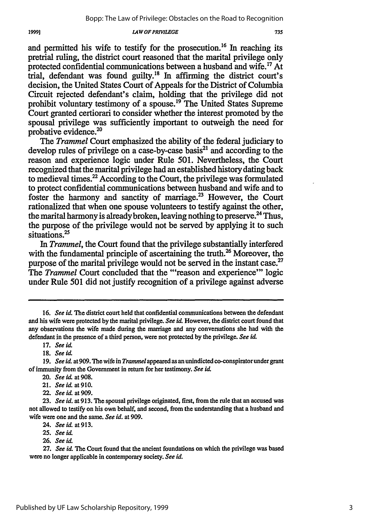*LAWOFPRIVILEGE*

and permitted his wife to testify for the prosecution.<sup>16</sup> In reaching its pretrial ruling, the district court reasoned that the marital privilege only protected confidential communications between a husband and wife.17 At trial, defendant was found guilty."8 In affirming the district court's decision, the United States Court of Appeals for the District of Columbia Circuit rejected defendant's claim, holding that the privilege did not prohibit voluntary testimony of a spouse.<sup>19</sup> The United States Supreme Court granted certiorari to consider whether the interest promoted by the spousal privilege was sufficiently important to outweigh the need for probative evidence.<sup>20</sup>

The *Trammel* Court emphasized the ability of the federal judiciary to develop rules of privilege on a case-by-case basis $^{21}$  and according to the reason and experience logic under Rule 501. Nevertheless, the Court recognized that the marital privilege had an established history dating back to medieval times.<sup>22</sup> According to the Court, the privilege was formulated to protect confidential communications between husband and wife and to foster the harmony and sanctity of marriage.23 However, the Court rationalized that when one spouse volunteers to testify against the other, the marital harmony is already broken, leaving nothing to preserve.<sup>24</sup> Thus, the purpose of the privilege would not be served by applying it to such situations.<sup>25</sup>

*In Trammel,* the Court found that the privilege substantially interfered with the fundamental principle of ascertaining the truth.<sup>26</sup> Moreover, the purpose of the marital privilege would not be served in the instant case.<sup>27</sup> The *Trammel* Court concluded that the "'reason and experience"' logic under Rule 501 did not justify recognition of a privilege against adverse

19991

**<sup>16.</sup>** *See id.* The district court held that confidential communications between the defendant and his wife were protected by the marital privilege. See id. However, the district court found that any observations the wife made during the marriage and any conversations she had with the defendant in the presence of a third person, were not protected by the privilege. *See id.*

<sup>17.</sup> *See id.* 

<sup>18.</sup> *Seeid.*

*<sup>19.</sup> See id.* at 909. The wife in *Trammel* appeared as an unindicted co-conspiratorunder grant of immunity from the Government in return for her testimony. *See id.*

<sup>20.</sup> *See id* at **908.**

<sup>21.</sup> *Seeid.* at910.

<sup>22.</sup> *See id.* at 909.

<sup>23.</sup> *See id.* at 913. The spousal privilege originated, first, from the rule that an accused was not allowed to testify on his own behalf, and second, from the understanding that a husband and wife were one and the same. *See id.* at 909.

<sup>24.</sup> *See id.* at 913.

*<sup>25.</sup> See id.*

**<sup>26.</sup>** *See it.*

<sup>27.</sup> *See id.* The Court found that the ancient foundations on which the privilege was based were no longer applicable in contemporary society. See id.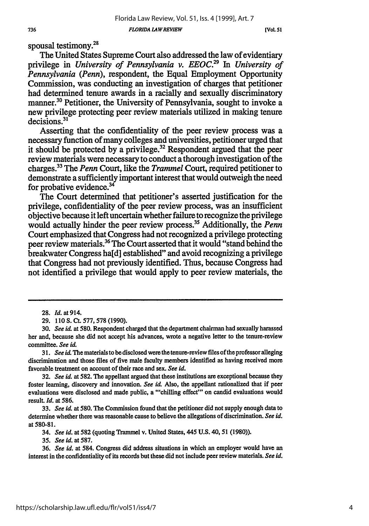**[Vo1. 51**

## 736

spousal testimony.<sup>28</sup>

The United States Supreme Court also addressed the law of evidentiary privilege in *University of Pennsylvania v. EEOC.29 In University of Pennsylvania (Penn),* respondent, the Equal Employment Opportunity Commission, was conducting an investigation of charges that petitioner had determined tenure awards in a racially and sexually discriminatory manner.<sup>30</sup> Petitioner, the University of Pennsylvania, sought to invoke a new privilege protecting peer review materials utilized in making tenure decisions.<sup>31</sup>

Asserting that the confidentiality of the peer review process was a necessary function of many colleges and universities, petitioner urged that it should be protected by a privilege.<sup>32</sup> Respondent argued that the peer review materials were necessary to conduct a thorough investigation of the charges.33 The *Penn* Court, like the *Trammel* Court, required petitioner to demonstrate a sufficiently important interest that would outweigh the need for probative evidence. $34$ 

The Court determined that petitioner's asserted justification for the privilege, confidentiality of the peer review process, was an insufficient objective because it left uncertain whether failure to recognize the privilege would actually hinder the peer review process.35 Additionally, the *Penn* Court emphasized that Congress had not recognized a privilege protecting peer review materials.36 The Court asserted that it would "stand behind the breakwater Congress ha[d] established" and avoid recognizing a privilege that Congress had not previously identified. Thus, because Congress had not identified a privilege that would apply to peer review materials, the

**31.** *See id.* The materials to be disclosed were the tenure-review files of the professor alleging discrimination and those files of five male faculty members identified as having received more favorable treatment on account of their race and sex. *See id.*

**32.** *See id.* at 582. The appellant argued that these institutions are exceptional because they foster learning, discovery and innovation. *See id.* Also, the appellant rationalized that if peer evaluations were disclosed and made public, a "'chilling effect"' on candid evaluations would result. *Id.* at **586.**

33. *See id.* at 580. The Commission found that the petitioner did not supply enough data to determine whether there was reasonable cause to believe the allegations of discrimination. *See id.* at 580-81.

34. *See id.* at **582** (quoting Trammel v. United States, 445 **U.S.** 40, 51 (1980)).

35. *See id.* at 587.

36. *See id.* at 584. Congress did address situations in which an employer would have an interest in the confidentiality of its records but these did not include peer review materials. *See id.*

**<sup>28.</sup>** *Id. at* 914.

**<sup>29.</sup>** 110 S. Ct. **577,578** (1990).

**<sup>30.</sup>** *See id.* at **580.** Respondent charged that the department chairman had sexually harassed her and, because she did not accept his advances, wrote a negative letter to the tenure-review committee. *See id.*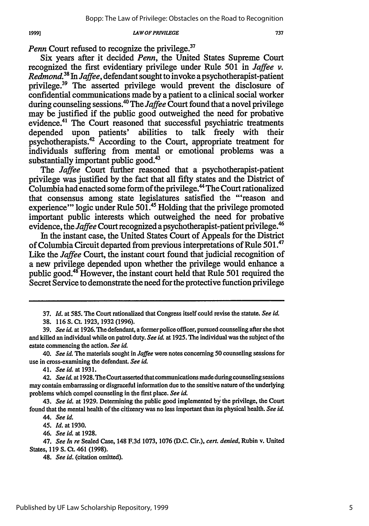*LAW OF PRIVILEGE*

*Penn* Court refused to recognize the privilege.<sup>37</sup>

19991

Six years after it decided *Penn,* the United States Supreme Court recognized the first evidentiary privilege under Rule 501 in *Jaffee v. Redmond.38 In Jaffee,* defendant sought to invoke a psychotherapist-patient privilege.39 The asserted privilege would prevent the disclosure of confidential communications made **by** a patient to a clinical social worker during counseling sessions.<sup>40</sup> The *Jaffee* Court found that a novel privilege may be justified if the public good outweighed the need for probative evidence.<sup>41</sup> The Court reasoned that successful psychiatric treatments depended upon patients' abilities to talk freely with their psychotherapists.42 According to the Court, appropriate treatment for individuals suffering from mental or emotional problems was a substantially important public good.<sup>43</sup>

The *Jaffee* Court further reasoned that a psychotherapist-patient privilege was justified by the fact that all fifty states and the District of Columbia had enacted some form of the privilege.<sup>44</sup> The Court rationalized that consensus among state legislatures satisfied the "'reason and experience"' logic under Rule **501.4'** Holding that the privilege promoted important public interests which outweighed the need for probative evidence, the *Jaffee* Court recognized a psychotherapist-patient privilege.'

In the instant case, the United States Court of Appeals for the District of Columbia Circuit departed from previous interpretations of Rule **501.'7** Like the *Jaffee* Court, the instant court found that judicial recognition of a new privilege depended upon whether the privilege would enhance a public good.<sup>48</sup> However, the instant court held that Rule 501 required the Secret Service to demonstrate the need for the protective function privilege

46. *See id.* at 1928.

**<sup>37.</sup>** *Id.* at 585. The Court rationalized that Congress itself could revise the statute. *See id.*

**<sup>38.</sup>** 116 S. Ct. 1923, 1932(1996).

<sup>39.</sup> *See id.* at 1926. The defendant, a former police officer, pursued counseling after she shot and killed an individual while on patrol duty. See id. at 1925. The individual was the subject of the estate commencing the action. *See id.*

<sup>40.</sup> *See id.* The materials sought in *Jaffee* were notes concerning **50** counseling sessions for use in cross-examining the defendant. *See id.*

<sup>41.</sup> *See id.* at **1931.**

<sup>42.</sup> *See id.* at 1928. *The* Court asserted that communications made during counseling sessions may contain embarrassing or disgraceful information due to the sensitive nature of the underlying problems which compel counseling in the first place. *See id*

<sup>43.</sup> *See id.* at 1929. Determining the public good implemented by the privilege, the Court found that the mental health of the citizenry was no less important than its physical health. *See id.*

*<sup>44.</sup> See id.*

<sup>45.</sup> *Id.* at 1930.

<sup>47.</sup> *See In re* Sealed Case, 148 F.3d 1073, 1076 (D.C. Cir.), *cert. denied,* Rubin v. United States, 119 S. Ct. 461 (1998).

<sup>48.</sup> *See id.* (citation omitted).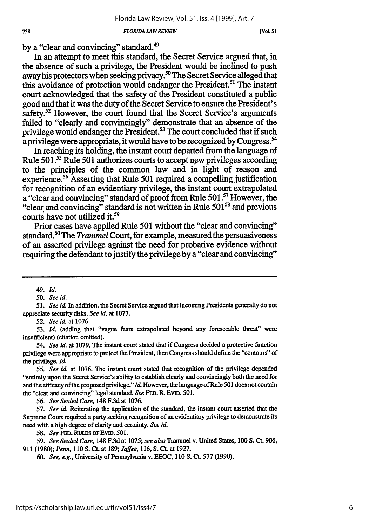#### *FLORIDA LAWREVIEW*

**[VoL 51**

by a "clear and convincing" standard.<sup>49</sup>

In an attempt to meet this standard, the Secret Service argued that, in the absence of such a privilege, the President would be inclined to push away his protectors when seeking privacy.<sup>50</sup> The Secret Service alleged that this avoidance of protection would endanger the President.<sup>51</sup> The instant court acknowledged that the safety of the President constituted a public good and that it was the duty of the Secret Service to ensure the President's safety.<sup>52</sup> However, the court found that the Secret Service's arguments failed to "clearly and convincingly" demonstrate that an absence of the privilege would endanger the President.<sup>53</sup> The court concluded that if such a privilege were appropriate, it would have to be recognized by Congress.<sup>54</sup>

In reaching its holding, the instant court departed from the language of Rule 501.55 Rule 501 authorizes courts to accept new privileges according to the principles of the common law and in light of reason and experience.<sup>56</sup> Asserting that Rule 501 required a compelling justification for recognition of an evidentiary privilege, the instant court extrapolated a "clear and convincing" standard of proof from Rule **501.5** However, the "clear and convincing" standard is not written in Rule 50158 and previous courts have not utilized it.<sup>59</sup>

Prior cases have applied Rule 501 without the "clear and convincing" standard. 6 The *Trammel* Court, for example, measured the persuasiveness of an asserted privilege against the need for probative evidence without requiring the defendant to justify the privilege by a "clear and convincing"

*56. See Sealed Case,* 148 F.3d at 1076.

*57. See id.* Reiterating the application of the standard, the instant court asserted that the Supreme Court required a party seeking recognition of an evidentiary privilege to demonstrate its need with a high degree of clarity and certainty. *See id.*

*58. See* **FED.** RULES OFEVID. 501.

*59. See Sealed Case,* 148 F.3d at 1075; *see also* Trammel v. Unitid States, 100 *S.* Ct. 906, 911 (1980); *Penn,* 110 **S.** Ct. at 189; *Jaffee,* 116, **S. Ct.** at 1927.

60. *See, e.g.,* University of Pennsylvania v. **EEOC,** 110 **S.** Ct. 577 (1990).

*<sup>49.</sup> Id.*

*<sup>50.</sup> See id.*

*<sup>51.</sup> See id.* In addition, the Secret Service argued that incoming Presidents generally do not appreciate security risks. *See id.* at 1077.

*<sup>52.</sup> See id.* at 1076.

<sup>53.</sup> Id. (adding that "vague fears extrapolated beyond any foreseeable threat" were insufficient) (citation omitted).

<sup>54.</sup> *See id.* at 1079. The instant court stated that if Congress decided a protective function privilege were appropriate to protect the President, then Congress should define the "contours" of the privilege. *Id.*

*<sup>55.</sup> See id.* at 1076. The instant court stated that recognition of the privilege depended "entirely upon the Secret Service's ability to establish clearly and convincingly both the need for and the efficacy of the proposed privilege." *Id.* However, the language of Rule 501 does not contain the "clear and convincing" legal standard. *See* **FED.** R. EVID. 501.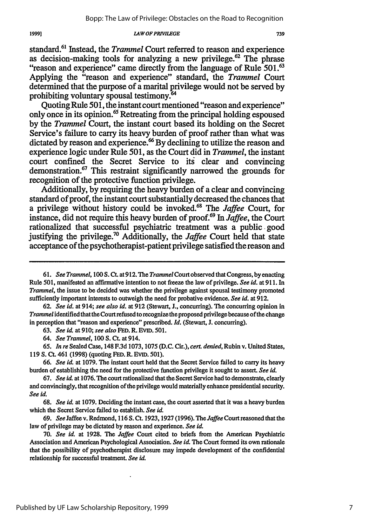*LAWOFPRIVILEGE*

Quoting Rule **501,** the instant court mentioned "reason and experience" only once in its opinion. 65 Retreating from the principal holding espoused **by** the *Trammel* Court, the instant court based its holding on the Secret Service's failure to carry its heavy burden of proof rather than what was dictated by reason and experience.<sup>66</sup> By declining to utilize the reason and experience logic under Rule **501,** as the Court did in *Trammel,* the instant court confined the Secret Service to its clear and convincing demonstration.<sup>67</sup> This restraint significantly narrowed the grounds for recognition of the protective function privilege.

Additionally, **by** requiring the heavy burden of a clear and convincing standard of proof, the instant court substantially decreased the chances that a privilege without history could be invoked.<sup>68</sup> The *Jaffee* Court, for instance, did not require this heavy burden of proof.69 In *Jaffee,* the Court rationalized that successful psychiatric treatment was a public good justifying the privilege.70 Additionally, the *Jaffee* Court held that state acceptance of the psychotherapist-patient privilege satisfied the reason and

**62.** *See id.* at 914; *see also id.* at **912** (Stewart, J., concurring). The concurring opinion in *Trammel* identified that the Court refused to recognize the proposed privilege because of the change in perception that "reason and experience" prescribed. *Id.* (Stewart, J. concurring).

63. *See id.* at 910; *see also* **FED.** R. EViD. 501.

*64. See Trammel,* 100 **S. Ct.** at 914.

65. *In re* Sealed Case, 148 F.3d 1073, 1075 (D.C. Cir.), *cert. denied,* Rubin v. United States, 119 **S. CL** 461 (1998) (quoting **FED.** R. **EVID.** 501).

66. *See id.* at 1079. The instant court held that the Secret Service failed to carry its heavy burden of establishing the need for the protective function privilege it sought to assert. *See id.*

**67.** *See id.* at **1076.** The court rationalized that the Secret Service had to demonstrate, clearly and convincingly, that recognition of the privilege would materially enhance presidential security. *See id.*

68. *See id.* at 1079. Deciding the instant case, the court asserted that it was a heavy burden which the Secret Service failed to establish. *See id.*

69. See Jaffee v. Redmond, 116 S. Ct. 1923, 1927 (1996). The *Jaffee* Court reasoned that the law of privilege may be dictated by reason and experience. *See id.*

70. *See id.* at 1928. The *Jaffee* Court cited to briefs from the American Psychiatric Association and American Psychological Association. *See id*. The Court formed its own rationale that the possibility of psychotherapist disclosure may impede development of the confidential relationship for successful treatment. *See id.*

<sup>61.</sup> *See Trammel, 100* S. *Ct.* at 912. The *Trammel* Court observed that Congress, by enacting Rule 501, manifested an affirmative intention to not freeze the law of privilege. *See id.* at 911. In *Trammel,* the issue to be decided was whether the privilege against spousal testimony promoted sufficiently important interests to outweigh the need for probative evidence. *See id.* at 912.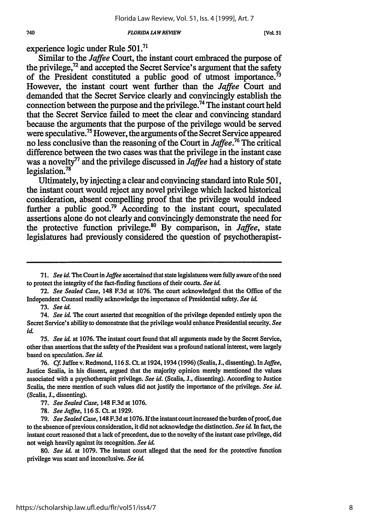#### *FLORIDA LA WREVIEW*

**[VOL 51**

experience logic under Rule **501.71**

740

Similar to the *Jaffee* Court, the instant court embraced the purpose of the privilege, $72$  and accepted the Secret Service's argument that the safety of the President constituted a public good of utmost importance.<sup> $73$ </sup> However, the instant court went further than the *Jaffee* Court and demanded that the Secret Service clearly and convincingly establish the connection between the purpose and the privilege.74 The instant court held that the Secret Service failed to meet the clear and convincing standard because the arguments that the purpose of the privilege would be served were speculative.75 However, the arguments of the Secret Service appeared no less conclusive than the reasoning of the Court in *Jaffee.7 6* The critical difference between the two cases was that the privilege in the instant case was a novelty77 and the privilege discussed in *Jaffee* had a history of state legislation.<sup>78</sup>

Ultimately, **by** injecting a clear and convincing standard into Rule **501,** the instant court would reject any novel privilege which lacked historical consideration, absent compelling proof that the privilege would indeed further a public good.<sup>79</sup> According to the instant court, speculated assertions alone do not clearly and convincingly demonstrate the need for the protective function privilege.<sup>80</sup> By comparison, in *Jaffee*, state legislatures had previously considered the question of psychotherapist-

73. *See id.*

80. *See id* at 1079. The instant court alleged that the need for the protective function privilege was scant and inconclusive. *See id*

**<sup>71.</sup>** *See id.* The Court in *Jaffee* ascertained that state legislatures were fully aware of the need to protect the integrity of the fact-finding functions of their courts. *See id.*

<sup>72.</sup> *See Sealed Case,* 148 F.3d at 1076. The court acknowledged that the Office of the Independent Counsel readily acknowledge the importance of Presidential safety. *See id.*

<sup>74.</sup> *See id.* The court asserted that recognition of the privilege depended entirely upon the Secret Service's ability to demonstrate that the privilege would enhance Presidential security. *See id.*

*<sup>75.</sup> See id.* at 1076. The instant court found that all arguments made by the Secret Service, other than assertions that the safety of the President was a profound national interest, were largely based on speculation. *See id.*

<sup>76.</sup> *Cf.* Jaffee v. Redmond, 116 **S.** Ct. at 1924,1934 (1996) (Scalia, **J.,** dissenting). In *Jaffee,* Justice Scalia, in his dissent, argued that the majority opinion merely mentioned the values associated with a psychotherapist privilege. *See id.* (Scalia, J., dissenting). According to Justice Scalia, the mere mention of such values did not justify the importance of the privilege. *See id.* (Scalia, J., dissenting).

<sup>77.</sup> *See Sealed Case,* 148 F.3d at 1076.

<sup>78.</sup> *See Jaffee,* 116 **S. Ct.** at 1929.

<sup>79.</sup> *See Sealed Case,* 148 F.3d at 1076. If the instant court increased the burden ofproof, due to the absence of preyious consideration, it did not acknowledge the distinction. *See id.* In fact, the instant court reasoned that a lack of precedent, due to the novelty of the instant case privilege, did not weigh heavily against its recognition. *See id*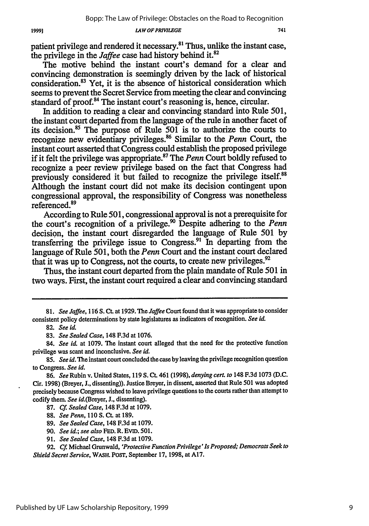### *LAW OF PRIWiLEGE*

patient privilege and rendered it necessary.<sup>81</sup> Thus, unlike the instant case, the privilege in the *Jaffee* case had history behind it.82

The motive behind the instant court's demand for a clear and convincing demonstration is seemingly driven by the lack of historical consideration.<sup>83</sup> Yet, it is the absence of historical consideration which seems to prevent the Secret Service from meeting the clear and convincing standard of proof.<sup>84</sup> The instant court's reasoning is, hence, circular.

In addition to reading a clear and convincing standard into Rule 501, the instant court departed from the language of the rule in another facet of its decision.85 The purpose of Rule 501 is to authorize the courts to recognize new evidentiary privileges.86 Similar to the *Penn* Court, the instant court asserted that Congress could establish the proposed privilege if it felt the privilege was appropriate.<sup>87</sup> The *Penn* Court boldly refused to recognize a peer review privilege based on the fact that Congress had previously considered it but failed to recognize the privilege itself.<sup>81</sup> Although the instant court did not make its decision contingent upon congressional approval, the responsibility of Congress was nonetheless referenced.<sup>89</sup>

According to Rule 501, congressional approval is not a prerequisite for the court's recognition of a privilege.<sup>90</sup> Despite adhering to the *Penn* decision, the instant court disregarded the language of Rule 501 by transferring the privilege issue to Congress.91 In departing from the language of Rule 501, both the *Penn* Court and the instant court declared that it was up to Congress, not the courts, to create new privileges.<sup>92</sup>

Thus, the instant court departed from the plain mandate of Rule 501 in two ways. First, the instant court required a clear and convincing standard

- 90. *See id.; see also* FED. R. EVID. 501.
- 91. *See Sealed Case,* 148 F.3d at 1079.

*<sup>81.</sup> See Jaffee,* 116 S. **CL** at 1929. The *Jaffee* Court found that it was appropriate to consider consistent policy determinations by state legislatures as indicators of recognition. *See id.*

<sup>82.</sup> *See id.*

<sup>83.</sup> *See Sealed Case,* 148 F.3d at 1076.

<sup>84.</sup> *See id.* at 1079. The instant court alleged that the need for the protective function privilege was scant and inconclusive. *See id.*

**<sup>85.</sup>** *See id.* The instant court concluded the case **by** leaving the privilege recognition question to Congress. *See id.*

<sup>86.</sup> *See* Rubin v. United States, 119 **S. CL** 461 (1998), *denying cert. to* 148 F.3d 1073 (D.C. Cir. 1998) (Breyer, J., dissenting)). Justice Breyer, in dissent, asserted that Rule 501 was adopted precisely because Congress wished to leave privilege questions to the courts rather than attempt to codify them. *See* id.(Breyer, J., dissenting).

<sup>87.</sup> *Cf Sealed Case,* 148 F.3d at 1079.

<sup>88.</sup> *See Penn,* 110 **S. CL** at 189.

<sup>89.</sup> *See Sealed Case,* 148 F.3d at 1079.

<sup>92.</sup> *Cf.* Michael Grunwald, *'Protective Function Privilege' Is Proposed; Democrats Seek to Shield Secret Service,* WASH. POST, September 17, 1998, at A17.